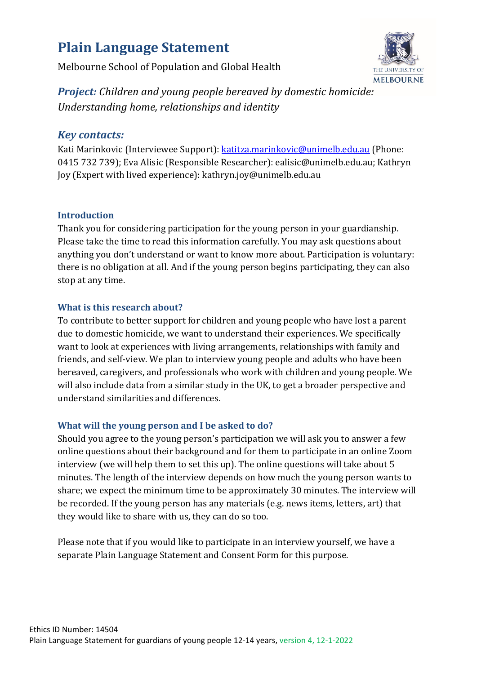# **Plain Language Statement**

Melbourne School of Population and Global Health



*Project: Children and young people bereaved by domestic homicide: Understanding home, relationships and identity*

# *Key contacts:*

Kati Marinkovic (Interviewee Support): [katitza.marinkovic@unimelb.edu.au](mailto:katitza.marinkovic@unimelb.edu.au) (Phone: 0415 732 739); Eva Alisic (Responsible Researcher): ealisic@unimelb.edu.au; Kathryn Joy (Expert with lived experience): kathryn.joy@unimelb.edu.au

## **Introduction**

Thank you for considering participation for the young person in your guardianship. Please take the time to read this information carefully. You may ask questions about anything you don't understand or want to know more about. Participation is voluntary: there is no obligation at all. And if the young person begins participating, they can also stop at any time.

## **What is this research about?**

To contribute to better support for children and young people who have lost a parent due to domestic homicide, we want to understand their experiences. We specifically want to look at experiences with living arrangements, relationships with family and friends, and self-view. We plan to interview young people and adults who have been bereaved, caregivers, and professionals who work with children and young people. We will also include data from a similar study in the UK, to get a broader perspective and understand similarities and differences.

# **What will the young person and I be asked to do?**

Should you agree to the young person's participation we will ask you to answer a few online questions about their background and for them to participate in an online Zoom interview (we will help them to set this up). The online questions will take about 5 minutes. The length of the interview depends on how much the young person wants to share; we expect the minimum time to be approximately 30 minutes. The interview will be recorded. If the young person has any materials (e.g. news items, letters, art) that they would like to share with us, they can do so too.

Please note that if you would like to participate in an interview yourself, we have a separate Plain Language Statement and Consent Form for this purpose.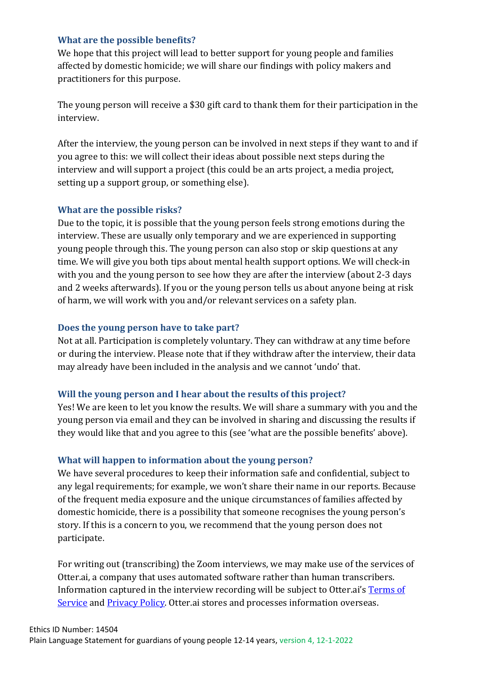### **What are the possible benefits?**

We hope that this project will lead to better support for young people and families affected by domestic homicide; we will share our findings with policy makers and practitioners for this purpose.

The young person will receive a \$30 gift card to thank them for their participation in the interview.

After the interview, the young person can be involved in next steps if they want to and if you agree to this: we will collect their ideas about possible next steps during the interview and will support a project (this could be an arts project, a media project, setting up a support group, or something else).

#### **What are the possible risks?**

Due to the topic, it is possible that the young person feels strong emotions during the interview. These are usually only temporary and we are experienced in supporting young people through this. The young person can also stop or skip questions at any time. We will give you both tips about mental health support options. We will check-in with you and the young person to see how they are after the interview (about 2-3 days and 2 weeks afterwards). If you or the young person tells us about anyone being at risk of harm, we will work with you and/or relevant services on a safety plan.

### **Does the young person have to take part?**

Not at all. Participation is completely voluntary. They can withdraw at any time before or during the interview. Please note that if they withdraw after the interview, their data may already have been included in the analysis and we cannot 'undo' that.

#### **Will the young person and I hear about the results of this project?**

Yes! We are keen to let you know the results. We will share a summary with you and the young person via email and they can be involved in sharing and discussing the results if they would like that and you agree to this (see 'what are the possible benefits' above).

#### **What will happen to information about the young person?**

We have several procedures to keep their information safe and confidential, subject to any legal requirements; for example, we won't share their name in our reports. Because of the frequent media exposure and the unique circumstances of families affected by domestic homicide, there is a possibility that someone recognises the young person's story. If this is a concern to you, we recommend that the young person does not participate.

For writing out (transcribing) the Zoom interviews, we may make use of the services of Otter.ai, a company that uses automated software rather than human transcribers. Information captured in the interview recording will be subject to Otter.ai's [Terms of](https://blog.otter.ai/terms-of-service/)  [Service](https://blog.otter.ai/terms-of-service/) and **Privacy Policy**. Otter.ai stores and processes information overseas.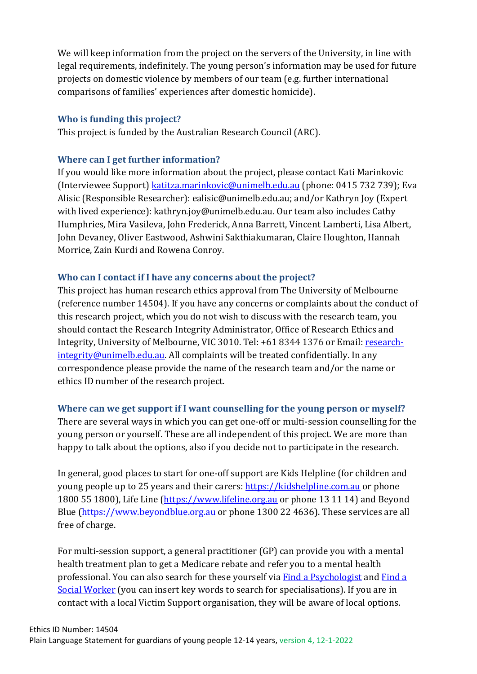We will keep information from the project on the servers of the University, in line with legal requirements, indefinitely. The young person's information may be used for future projects on domestic violence by members of our team (e.g. further international comparisons of families' experiences after domestic homicide).

### **Who is funding this project?**

This project is funded by the Australian Research Council (ARC).

## **Where can I get further information?**

If you would like more information about the project, please contact Kati Marinkovic (Interviewee Support) [katitza.marinkovic@unimelb.edu.au](mailto:katitza.marinkovic@unimelb.edu.au) (phone: 0415 732 739); Eva Alisic (Responsible Researcher): ealisic@unimelb.edu.au; and/or Kathryn Joy (Expert with lived experience): kathryn.joy@unimelb.edu.au. Our team also includes Cathy Humphries, Mira Vasileva, John Frederick, Anna Barrett, Vincent Lamberti, Lisa Albert, John Devaney, Oliver Eastwood, Ashwini Sakthiakumaran, Claire Houghton, Hannah Morrice, Zain Kurdi and Rowena Conroy.

## **Who can I contact if I have any concerns about the project?**

This project has human research ethics approval from The University of Melbourne (reference number 14504). If you have any concerns or complaints about the conduct of this research project, which you do not wish to discuss with the research team, you should contact the Research Integrity Administrator, Office of Research Ethics and Integrity, University of Melbourne, VIC 3010. Tel: +61 8344 1376 or Email: [research](mailto:research-integrity@unimelb.edu.au)[integrity@unimelb.edu.au.](mailto:research-integrity@unimelb.edu.au) All complaints will be treated confidentially. In any correspondence please provide the name of the research team and/or the name or ethics ID number of the research project.

## **Where can we get support if I want counselling for the young person or myself?**

There are several ways in which you can get one-off or multi-session counselling for the young person or yourself. These are all independent of this project. We are more than happy to talk about the options, also if you decide not to participate in the research.

In general, good places to start for one-off support are Kids Helpline (for children and young people up to 25 years and their carers: [https://kidshelpline.com.au](https://kidshelpline.com.au/) or phone 1800 55 1800), Life Line [\(https://www.lifeline.org.au](https://www.lifeline.org.au/) or phone 13 11 14) and Beyond Blue [\(https://www.beyondblue.org.au](https://www.beyondblue.org.au/) or phone 1300 22 4636). These services are all free of charge.

For multi-session support, a general practitioner (GP) can provide you with a mental health treatment plan to get a Medicare rebate and refer you to a mental health professional. You can also search for these yourself via Find [a Psychologist](https://www.psychology.org.au/Find-a-Psychologist) and [Find](https://www.aasw.asn.au/find-a-social-worker/search/) a Social [Worker](https://www.aasw.asn.au/find-a-social-worker/search/) (you can insert key words to search for specialisations). If you are in contact with a local Victim Support organisation, they will be aware of local options.